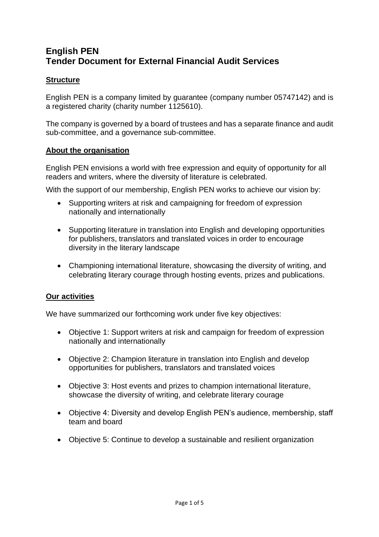# **English PEN Tender Document for External Financial Audit Services**

# **Structure**

English PEN is a company limited by guarantee (company number 05747142) and is a registered charity (charity number 1125610).

The company is governed by a board of trustees and has a separate finance and audit sub-committee, and a governance sub-committee.

## **About the organisation**

English PEN envisions a world with free expression and equity of opportunity for all readers and writers, where the diversity of literature is celebrated.

With the support of our membership, English PEN works to achieve our vision by:

- Supporting writers at risk and campaigning for freedom of expression nationally and internationally
- Supporting literature in translation into English and developing opportunities for publishers, translators and translated voices in order to encourage diversity in the literary landscape
- Championing international literature, showcasing the diversity of writing, and celebrating literary courage through hosting events, prizes and publications.

## **Our activities**

We have summarized our forthcoming work under five key objectives:

- Objective 1: Support writers at risk and campaign for freedom of expression nationally and internationally
- Objective 2: Champion literature in translation into English and develop opportunities for publishers, translators and translated voices
- Objective 3: Host events and prizes to champion international literature, showcase the diversity of writing, and celebrate literary courage
- Objective 4: Diversity and develop English PEN's audience, membership, staff team and board
- Objective 5: Continue to develop a sustainable and resilient organization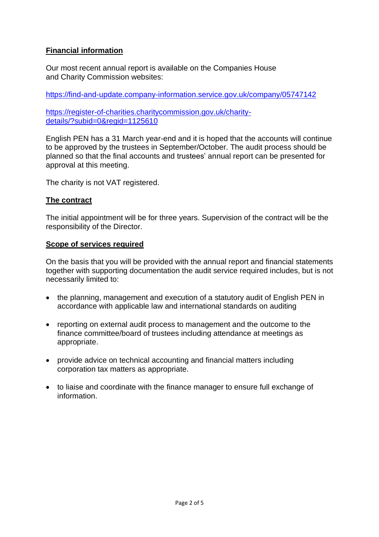# **Financial information**

Our most recent annual report is available on the Companies House and Charity Commission websites:

<https://find-and-update.company-information.service.gov.uk/company/05747142>

[https://register-of-charities.charitycommission.gov.uk/charity](https://register-of-charities.charitycommission.gov.uk/charity-details/?subid=0®id=1125610)[details/?subid=0&regid=1125610](https://register-of-charities.charitycommission.gov.uk/charity-details/?subid=0®id=1125610)

English PEN has a 31 March year-end and it is hoped that the accounts will continue to be approved by the trustees in September/October. The audit process should be planned so that the final accounts and trustees' annual report can be presented for approval at this meeting.

The charity is not VAT registered.

# **The contract**

The initial appointment will be for three years. Supervision of the contract will be the responsibility of the Director.

## **Scope of services required**

On the basis that you will be provided with the annual report and financial statements together with supporting documentation the audit service required includes, but is not necessarily limited to:

- the planning, management and execution of a statutory audit of English PEN in accordance with applicable law and international standards on auditing
- reporting on external audit process to management and the outcome to the finance committee/board of trustees including attendance at meetings as appropriate.
- provide advice on technical accounting and financial matters including corporation tax matters as appropriate.
- to liaise and coordinate with the finance manager to ensure full exchange of information.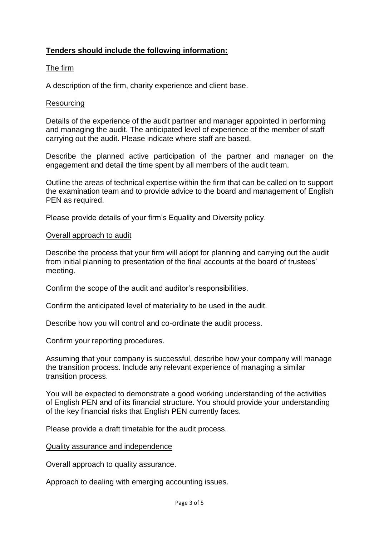# **Tenders should include the following information:**

# The firm

A description of the firm, charity experience and client base.

## Resourcing

Details of the experience of the audit partner and manager appointed in performing and managing the audit. The anticipated level of experience of the member of staff carrying out the audit. Please indicate where staff are based.

Describe the planned active participation of the partner and manager on the engagement and detail the time spent by all members of the audit team.

Outline the areas of technical expertise within the firm that can be called on to support the examination team and to provide advice to the board and management of English PEN as required.

Please provide details of your firm's Equality and Diversity policy.

#### Overall approach to audit

Describe the process that your firm will adopt for planning and carrying out the audit from initial planning to presentation of the final accounts at the board of trustees' meeting.

Confirm the scope of the audit and auditor's responsibilities.

Confirm the anticipated level of materiality to be used in the audit.

Describe how you will control and co-ordinate the audit process.

Confirm your reporting procedures.

Assuming that your company is successful, describe how your company will manage the transition process. Include any relevant experience of managing a similar transition process.

You will be expected to demonstrate a good working understanding of the activities of English PEN and of its financial structure. You should provide your understanding of the key financial risks that English PEN currently faces.

Please provide a draft timetable for the audit process.

#### Quality assurance and independence

Overall approach to quality assurance.

Approach to dealing with emerging accounting issues.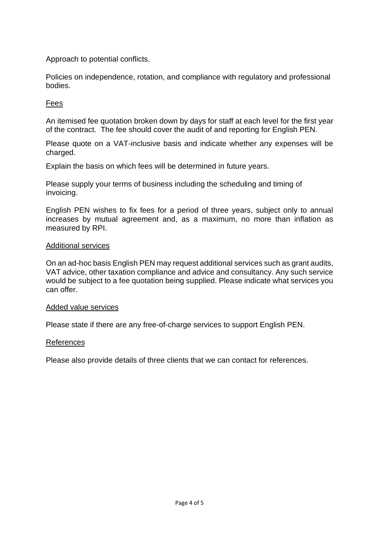Approach to potential conflicts.

Policies on independence, rotation, and compliance with regulatory and professional bodies.

# Fees

An itemised fee quotation broken down by days for staff at each level for the first year of the contract. The fee should cover the audit of and reporting for English PEN.

Please quote on a VAT-inclusive basis and indicate whether any expenses will be charged.

Explain the basis on which fees will be determined in future years.

Please supply your terms of business including the scheduling and timing of invoicing.

English PEN wishes to fix fees for a period of three years, subject only to annual increases by mutual agreement and, as a maximum, no more than inflation as measured by RPI.

#### Additional services

On an ad-hoc basis English PEN may request additional services such as grant audits, VAT advice, other taxation compliance and advice and consultancy. Any such service would be subject to a fee quotation being supplied. Please indicate what services you can offer.

#### Added value services

Please state if there are any free-of-charge services to support English PEN.

#### References

Please also provide details of three clients that we can contact for references.